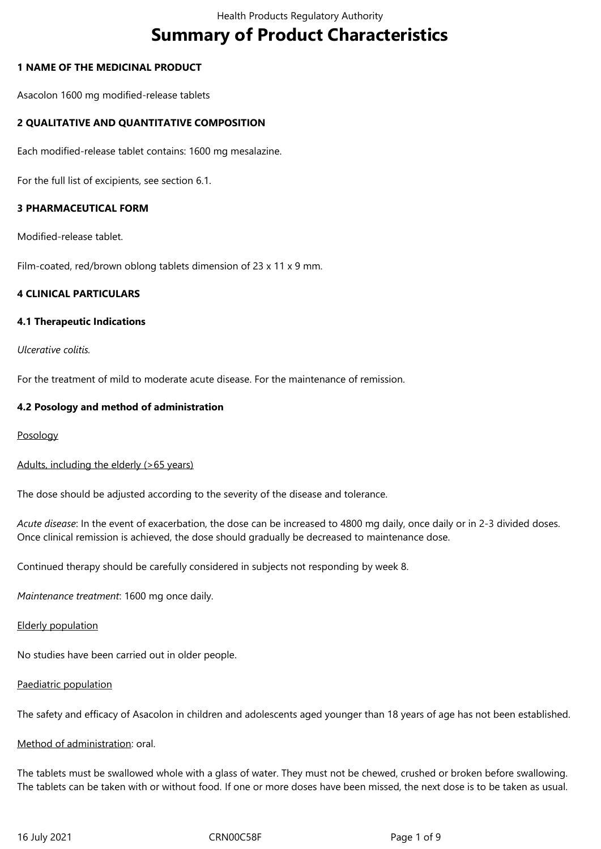# **Summary of Product Characteristics**

## **1 NAME OF THE MEDICINAL PRODUCT**

Asacolon 1600 mg modified-release tablets

## **2 QUALITATIVE AND QUANTITATIVE COMPOSITION**

Each modified-release tablet contains: 1600 mg mesalazine.

For the full list of excipients, see section 6.1.

#### **3 PHARMACEUTICAL FORM**

Modified-release tablet.

Film-coated, red/brown oblong tablets dimension of 23 x 11 x 9 mm.

## **4 CLINICAL PARTICULARS**

#### **4.1 Therapeutic Indications**

*Ulcerative colitis.*

For the treatment of mild to moderate acute disease. For the maintenance of remission.

#### **4.2 Posology and method of administration**

Posology

Adults, including the elderly (>65 years)

The dose should be adjusted according to the severity of the disease and tolerance.

*Acute disease*: In the event of exacerbation, the dose can be increased to 4800 mg daily, once daily or in 2-3 divided doses. Once clinical remission is achieved, the dose should gradually be decreased to maintenance dose.

Continued therapy should be carefully considered in subjects not responding by week 8.

*Maintenance treatment*: 1600 mg once daily.

#### Elderly population

No studies have been carried out in older people.

#### Paediatric population

The safety and efficacy of Asacolon in children and adolescents aged younger than 18 years of age has not been established.

#### Method of administration: oral.

The tablets must be swallowed whole with a glass of water. They must not be chewed, crushed or broken before swallowing. The tablets can be taken with or without food. If one or more doses have been missed, the next dose is to be taken as usual.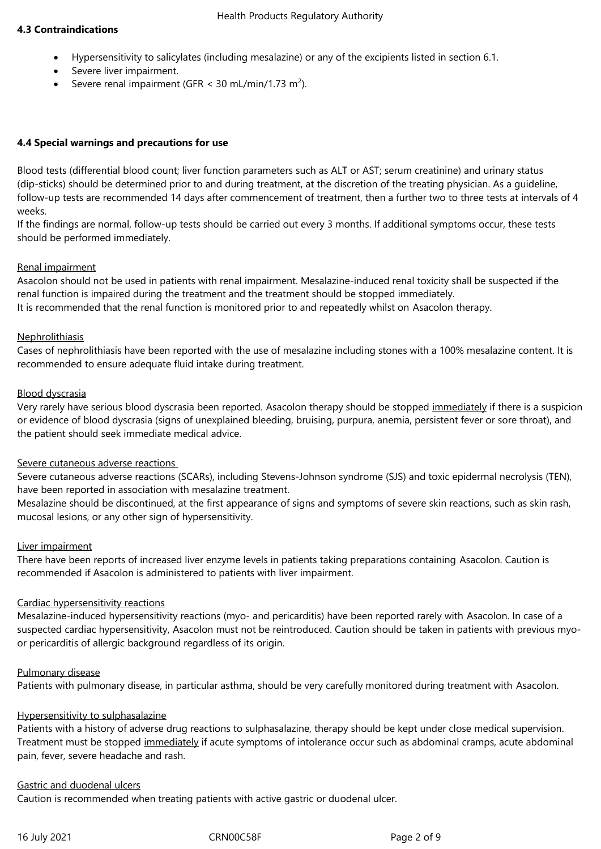## **4.3 Contraindications**

- Hypersensitivity to salicylates (including mesalazine) or any of the excipients listed in section 6.1.
- Severe liver impairment.
- Severe renal impairment (GFR < 30 mL/min/1.73 m<sup>2</sup>).

## **4.4 Special warnings and precautions for use**

Blood tests (differential blood count; liver function parameters such as ALT or AST; serum creatinine) and urinary status (dip-sticks) should be determined prior to and during treatment, at the discretion of the treating physician. As a guideline, follow-up tests are recommended 14 days after commencement of treatment, then a further two to three tests at intervals of 4 weeks.

If the findings are normal, follow-up tests should be carried out every 3 months. If additional symptoms occur, these tests should be performed immediately.

## Renal impairment

Asacolon should not be used in patients with renal impairment. Mesalazine-induced renal toxicity shall be suspected if the renal function is impaired during the treatment and the treatment should be stopped immediately.

It is recommended that the renal function is monitored prior to and repeatedly whilst on Asacolon therapy.

## **Nephrolithiasis**

Cases of nephrolithiasis have been reported with the use of mesalazine including stones with a 100% mesalazine content. It is recommended to ensure adequate fluid intake during treatment.

## Blood dyscrasia

Very rarely have serious blood dyscrasia been reported. Asacolon therapy should be stopped immediately if there is a suspicion or evidence of blood dyscrasia (signs of unexplained bleeding, bruising, purpura, anemia, persistent fever or sore throat), and the patient should seek immediate medical advice.

#### Severe cutaneous adverse reactions

Severe cutaneous adverse reactions (SCARs), including Stevens-Johnson syndrome (SJS) and toxic epidermal necrolysis (TEN), have been reported in association with mesalazine treatment.

Mesalazine should be discontinued, at the first appearance of signs and symptoms of severe skin reactions, such as skin rash, mucosal lesions, or any other sign of hypersensitivity.

#### Liver impairment

There have been reports of increased liver enzyme levels in patients taking preparations containing Asacolon. Caution is recommended if Asacolon is administered to patients with liver impairment.

## Cardiac hypersensitivity reactions

Mesalazine-induced hypersensitivity reactions (myo- and pericarditis) have been reported rarely with Asacolon. In case of a suspected cardiac hypersensitivity, Asacolon must not be reintroduced. Caution should be taken in patients with previous myoor pericarditis of allergic background regardless of its origin.

#### Pulmonary disease

Patients with pulmonary disease, in particular asthma, should be very carefully monitored during treatment with Asacolon.

## Hypersensitivity to sulphasalazine

Patients with a history of adverse drug reactions to sulphasalazine, therapy should be kept under close medical supervision. Treatment must be stopped immediately if acute symptoms of intolerance occur such as abdominal cramps, acute abdominal pain, fever, severe headache and rash.

#### Gastric and duodenal ulcers

Caution is recommended when treating patients with active gastric or duodenal ulcer.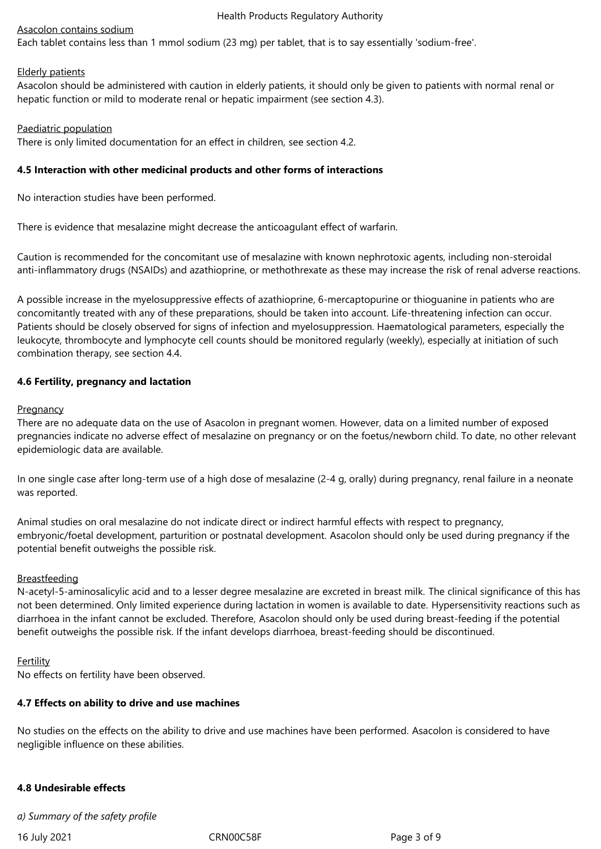## Asacolon contains sodium

Each tablet contains less than 1 mmol sodium (23 mg) per tablet, that is to say essentially 'sodium-free'.

#### Elderly patients

Asacolon should be administered with caution in elderly patients, it should only be given to patients with normal renal or hepatic function or mild to moderate renal or hepatic impairment (see section 4.3).

Paediatric population

There is only limited documentation for an effect in children, see section 4.2.

#### **4.5 Interaction with other medicinal products and other forms of interactions**

No interaction studies have been performed.

There is evidence that mesalazine might decrease the anticoagulant effect of warfarin.

Caution is recommended for the concomitant use of mesalazine with known nephrotoxic agents, including non-steroidal anti-inflammatory drugs (NSAIDs) and azathioprine, or methothrexate as these may increase the risk of renal adverse reactions.

A possible increase in the myelosuppressive effects of azathioprine, 6-mercaptopurine or thioguanine in patients who are concomitantly treated with any of these preparations, should be taken into account. Life-threatening infection can occur. Patients should be closely observed for signs of infection and myelosuppression. Haematological parameters, especially the leukocyte, thrombocyte and lymphocyte cell counts should be monitored regularly (weekly), especially at initiation of such combination therapy, see section 4.4.

## **4.6 Fertility, pregnancy and lactation**

## **Pregnancy**

There are no adequate data on the use of Asacolon in pregnant women. However, data on a limited number of exposed pregnancies indicate no adverse effect of mesalazine on pregnancy or on the foetus/newborn child. To date, no other relevant epidemiologic data are available.

In one single case after long-term use of a high dose of mesalazine (2-4 g, orally) during pregnancy, renal failure in a neonate was reported.

Animal studies on oral mesalazine do not indicate direct or indirect harmful effects with respect to pregnancy, embryonic/foetal development, parturition or postnatal development. Asacolon should only be used during pregnancy if the potential benefit outweighs the possible risk.

#### **Breastfeeding**

N-acetyl-5-aminosalicylic acid and to a lesser degree mesalazine are excreted in breast milk. The clinical significance of this has not been determined. Only limited experience during lactation in women is available to date. Hypersensitivity reactions such as diarrhoea in the infant cannot be excluded. Therefore, Asacolon should only be used during breast-feeding if the potential benefit outweighs the possible risk. If the infant develops diarrhoea, breast-feeding should be discontinued.

#### Fertility

No effects on fertility have been observed.

#### **4.7 Effects on ability to drive and use machines**

No studies on the effects on the ability to drive and use machines have been performed. Asacolon is considered to have negligible influence on these abilities.

## **4.8 Undesirable effects**

*a) Summary of the safety profile*

16 July 2021 **CRNOOC58F** CRNOOC58F Page 3 of 9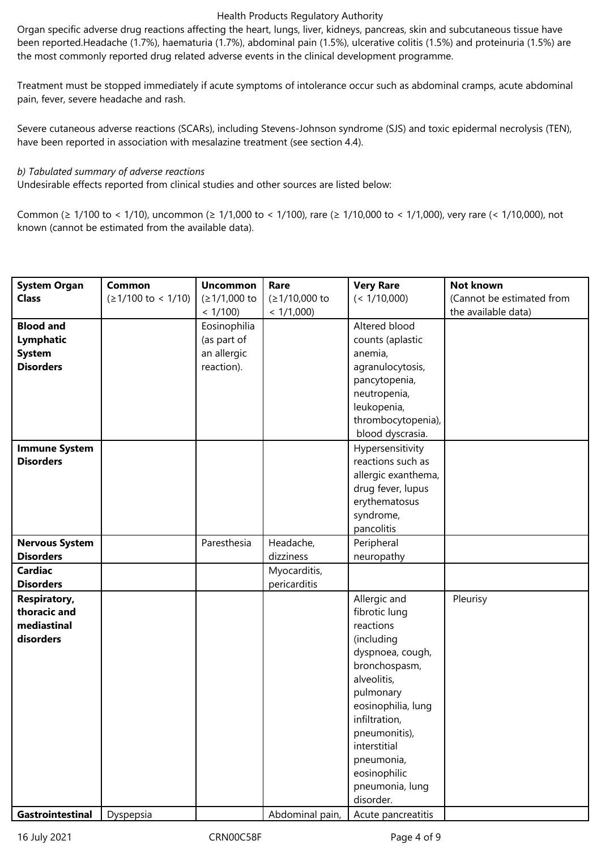Organ specific adverse drug reactions affecting the heart, lungs, liver, kidneys, pancreas, skin and subcutaneous tissue have been reported.Headache (1.7%), haematuria (1.7%), abdominal pain (1.5%), ulcerative colitis (1.5%) and proteinuria (1.5%) are the most commonly reported drug related adverse events in the clinical development programme.

Treatment must be stopped immediately if acute symptoms of intolerance occur such as abdominal cramps, acute abdominal pain, fever, severe headache and rash.

Severe cutaneous adverse reactions (SCARs), including Stevens-Johnson syndrome (SJS) and toxic epidermal necrolysis (TEN), have been reported in association with mesalazine treatment (see section 4.4).

#### *b) Tabulated summary of adverse reactions*

Undesirable effects reported from clinical studies and other sources are listed below:

Common (≥ 1/100 to < 1/10), uncommon (≥ 1/1,000 to < 1/100), rare (≥ 1/10,000 to < 1/1,000), very rare (< 1/10,000), not known (cannot be estimated from the available data).

| <b>System Organ</b>   | Common                      | <b>Uncommon</b> | Rare            | <b>Very Rare</b>    | Not known                 |
|-----------------------|-----------------------------|-----------------|-----------------|---------------------|---------------------------|
| <b>Class</b>          | $(21/100 \text{ to } 1/10)$ | $(≥1/1,000$ to  | (≥1/10,000 to   | (< 1/10,000)        | (Cannot be estimated from |
|                       |                             | < 1/100         | < 1/1,000       |                     | the available data)       |
| <b>Blood and</b>      |                             | Eosinophilia    |                 | Altered blood       |                           |
| Lymphatic             |                             | (as part of     |                 | counts (aplastic    |                           |
| <b>System</b>         |                             | an allergic     |                 | anemia,             |                           |
| <b>Disorders</b>      |                             | reaction).      |                 | agranulocytosis,    |                           |
|                       |                             |                 |                 | pancytopenia,       |                           |
|                       |                             |                 |                 | neutropenia,        |                           |
|                       |                             |                 |                 | leukopenia,         |                           |
|                       |                             |                 |                 | thrombocytopenia),  |                           |
|                       |                             |                 |                 | blood dyscrasia.    |                           |
| <b>Immune System</b>  |                             |                 |                 | Hypersensitivity    |                           |
| <b>Disorders</b>      |                             |                 |                 | reactions such as   |                           |
|                       |                             |                 |                 | allergic exanthema, |                           |
|                       |                             |                 |                 | drug fever, lupus   |                           |
|                       |                             |                 |                 | erythematosus       |                           |
|                       |                             |                 |                 | syndrome,           |                           |
|                       |                             |                 |                 | pancolitis          |                           |
| <b>Nervous System</b> |                             | Paresthesia     | Headache,       | Peripheral          |                           |
| <b>Disorders</b>      |                             |                 | dizziness       | neuropathy          |                           |
| <b>Cardiac</b>        |                             |                 | Myocarditis,    |                     |                           |
| <b>Disorders</b>      |                             |                 | pericarditis    |                     |                           |
| <b>Respiratory,</b>   |                             |                 |                 | Allergic and        | Pleurisy                  |
| thoracic and          |                             |                 |                 | fibrotic lung       |                           |
| mediastinal           |                             |                 |                 | reactions           |                           |
| disorders             |                             |                 |                 | (including          |                           |
|                       |                             |                 |                 | dyspnoea, cough,    |                           |
|                       |                             |                 |                 | bronchospasm,       |                           |
|                       |                             |                 |                 | alveolitis,         |                           |
|                       |                             |                 |                 | pulmonary           |                           |
|                       |                             |                 |                 | eosinophilia, lung  |                           |
|                       |                             |                 |                 | infiltration,       |                           |
|                       |                             |                 |                 | pneumonitis),       |                           |
|                       |                             |                 |                 | interstitial        |                           |
|                       |                             |                 |                 | pneumonia,          |                           |
|                       |                             |                 |                 | eosinophilic        |                           |
|                       |                             |                 |                 | pneumonia, lung     |                           |
|                       |                             |                 |                 | disorder.           |                           |
| Gastrointestinal      | Dyspepsia                   |                 | Abdominal pain, | Acute pancreatitis  |                           |

16 July 2021 **CRNOOC58F** Page 4 of 9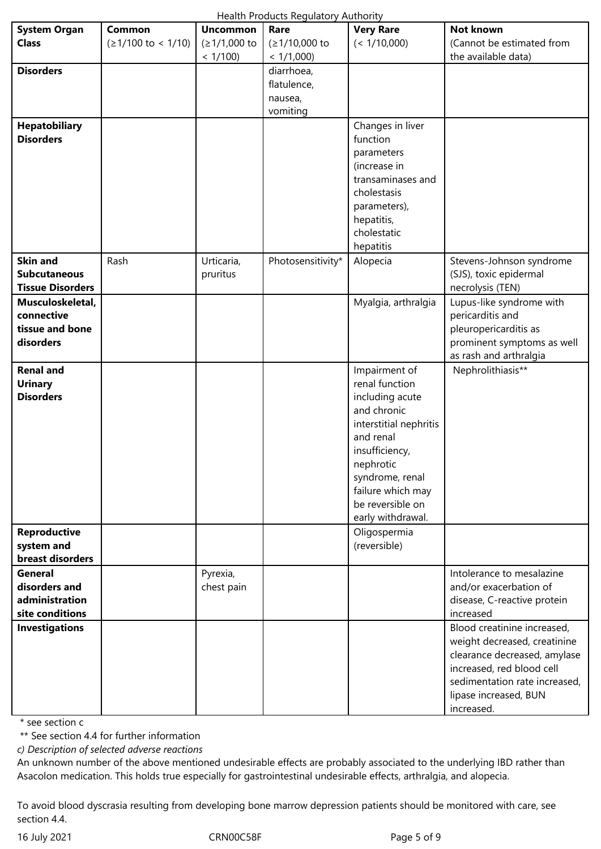| Health Products Regulatory Authority |  |
|--------------------------------------|--|
|--------------------------------------|--|

|                         |                                     |                 | Health Products Regulatory Authority |                        |                               |
|-------------------------|-------------------------------------|-----------------|--------------------------------------|------------------------|-------------------------------|
| <b>System Organ</b>     | Common                              | <b>Uncommon</b> | Rare                                 | <b>Very Rare</b>       | <b>Not known</b>              |
| <b>Class</b>            | $( \geq 1/100 \text{ to } < 1/10 )$ | (≥1/1,000 to    | (≥1/10,000 to                        | (< 1/10,000)           | (Cannot be estimated from     |
|                         |                                     | < 1/100         | < 1/1,000                            |                        | the available data)           |
| <b>Disorders</b>        |                                     |                 | diarrhoea,                           |                        |                               |
|                         |                                     |                 | flatulence,                          |                        |                               |
|                         |                                     |                 |                                      |                        |                               |
|                         |                                     |                 | nausea,                              |                        |                               |
|                         |                                     |                 | vomiting                             |                        |                               |
| <b>Hepatobiliary</b>    |                                     |                 |                                      | Changes in liver       |                               |
| <b>Disorders</b>        |                                     |                 |                                      | function               |                               |
|                         |                                     |                 |                                      | parameters             |                               |
|                         |                                     |                 |                                      | (increase in           |                               |
|                         |                                     |                 |                                      | transaminases and      |                               |
|                         |                                     |                 |                                      | cholestasis            |                               |
|                         |                                     |                 |                                      | parameters),           |                               |
|                         |                                     |                 |                                      | hepatitis,             |                               |
|                         |                                     |                 |                                      | cholestatic            |                               |
|                         |                                     |                 |                                      | hepatitis              |                               |
| <b>Skin and</b>         | Rash                                | Urticaria,      | Photosensitivity*                    | Alopecia               | Stevens-Johnson syndrome      |
| <b>Subcutaneous</b>     |                                     | pruritus        |                                      |                        | (SJS), toxic epidermal        |
| <b>Tissue Disorders</b> |                                     |                 |                                      |                        | necrolysis (TEN)              |
| Musculoskeletal,        |                                     |                 |                                      | Myalgia, arthralgia    | Lupus-like syndrome with      |
| connective              |                                     |                 |                                      |                        | pericarditis and              |
| tissue and bone         |                                     |                 |                                      |                        | pleuropericarditis as         |
| disorders               |                                     |                 |                                      |                        | prominent symptoms as well    |
|                         |                                     |                 |                                      |                        | as rash and arthralgia        |
| <b>Renal and</b>        |                                     |                 |                                      | Impairment of          | Nephrolithiasis**             |
| <b>Urinary</b>          |                                     |                 |                                      | renal function         |                               |
| <b>Disorders</b>        |                                     |                 |                                      | including acute        |                               |
|                         |                                     |                 |                                      | and chronic            |                               |
|                         |                                     |                 |                                      | interstitial nephritis |                               |
|                         |                                     |                 |                                      | and renal              |                               |
|                         |                                     |                 |                                      | insufficiency,         |                               |
|                         |                                     |                 |                                      | nephrotic              |                               |
|                         |                                     |                 |                                      |                        |                               |
|                         |                                     |                 |                                      | syndrome, renal        |                               |
|                         |                                     |                 |                                      | failure which may      |                               |
|                         |                                     |                 |                                      | be reversible on       |                               |
|                         |                                     |                 |                                      | early withdrawal.      |                               |
| <b>Reproductive</b>     |                                     |                 |                                      | Oligospermia           |                               |
| system and              |                                     |                 |                                      | (reversible)           |                               |
| breast disorders        |                                     |                 |                                      |                        |                               |
| <b>General</b>          |                                     | Pyrexia,        |                                      |                        | Intolerance to mesalazine     |
| disorders and           |                                     | chest pain      |                                      |                        | and/or exacerbation of        |
| administration          |                                     |                 |                                      |                        | disease, C-reactive protein   |
| site conditions         |                                     |                 |                                      |                        | increased                     |
| <b>Investigations</b>   |                                     |                 |                                      |                        | Blood creatinine increased,   |
|                         |                                     |                 |                                      |                        | weight decreased, creatinine  |
|                         |                                     |                 |                                      |                        | clearance decreased, amylase  |
|                         |                                     |                 |                                      |                        | increased, red blood cell     |
|                         |                                     |                 |                                      |                        | sedimentation rate increased, |
|                         |                                     |                 |                                      |                        | lipase increased, BUN         |
|                         |                                     |                 |                                      |                        | increased.                    |

\* see section c

\*\* See section 4.4 for further information

*c) Description of selected adverse reactions*

An unknown number of the above mentioned undesirable effects are probably associated to the underlying IBD rather than Asacolon medication. This holds true especially for gastrointestinal undesirable effects, arthralgia, and alopecia.

To avoid blood dyscrasia resulting from developing bone marrow depression patients should be monitored with care, see section 4.4.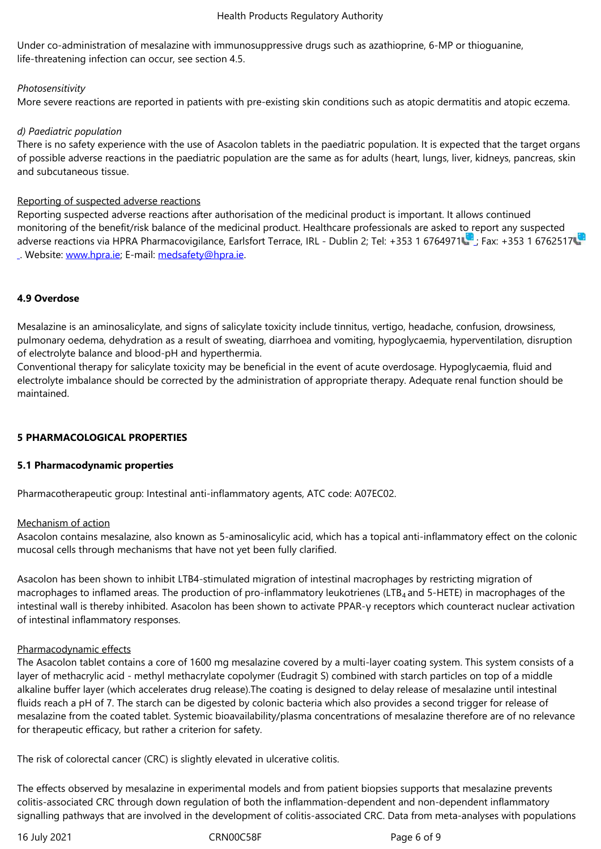Under co-administration of mesalazine with immunosuppressive drugs such as azathioprine, 6-MP or thioguanine, life-threatening infection can occur, see section 4.5.

#### *Photosensitivity*

More severe reactions are reported in patients with pre-existing skin conditions such as atopic dermatitis and atopic eczema.

## *d) Paediatric population*

There is no safety experience with the use of Asacolon tablets in the paediatric population. It is expected that the target organs of possible adverse reactions in the paediatric population are the same as for adults (heart, lungs, liver, kidneys, pancreas, skin and subcutaneous tissue.

## Reporting of suspected adverse reactions

Reporting suspected adverse reactions after authorisation of the medicinal product is important. It allows continued monitoring of the benefit/risk balance of the medicinal product. Healthcare professionals are asked to report any suspected adverse reactions via HPRA Pharmacovigilance, Earlsfort Terrace, IRL - Dublin 2; Tel: +353 1 6764971 ; Fax: +353 1 6762517 . Website: www.hpra.ie; E-mail: medsafety@hpra.ie.

## **4.9 Overd[ose](http://www.hpra.ie/)**

Mesalazine is an aminosalicylate, and signs of salicylate toxicity include tinnitus, vertigo, headache, confusion, drowsiness, pulmonary oedema, dehydration as a result of sweating, diarrhoea and vomiting, hypoglycaemia, hyperventilation, disruption of electrolyte balance and blood-pH and hyperthermia.

Conventional therapy for salicylate toxicity may be beneficial in the event of acute overdosage. Hypoglycaemia, fluid and electrolyte imbalance should be corrected by the administration of appropriate therapy. Adequate renal function should be maintained.

## **5 PHARMACOLOGICAL PROPERTIES**

#### **5.1 Pharmacodynamic properties**

Pharmacotherapeutic group: Intestinal anti-inflammatory agents, ATC code: A07EC02.

#### Mechanism of action

Asacolon contains mesalazine, also known as 5-aminosalicylic acid, which has a topical anti-inflammatory effect on the colonic mucosal cells through mechanisms that have not yet been fully clarified.

Asacolon has been shown to inhibit LTB4-stimulated migration of intestinal macrophages by restricting migration of macrophages to inflamed areas. The production of pro-inflammatory leukotrienes (LTB<sub>4</sub> and 5-HETE) in macrophages of the intestinal wall is thereby inhibited. Asacolon has been shown to activate PPAR-γ receptors which counteract nuclear activation of intestinal inflammatory responses.

#### Pharmacodynamic effects

The Asacolon tablet contains a core of 1600 mg mesalazine covered by a multi-layer coating system. This system consists of a layer of methacrylic acid - methyl methacrylate copolymer (Eudragit S) combined with starch particles on top of a middle alkaline buffer layer (which accelerates drug release).The coating is designed to delay release of mesalazine until intestinal fluids reach a pH of 7. The starch can be digested by colonic bacteria which also provides a second trigger for release of mesalazine from the coated tablet. Systemic bioavailability/plasma concentrations of mesalazine therefore are of no relevance for therapeutic efficacy, but rather a criterion for safety.

The risk of colorectal cancer (CRC) is slightly elevated in ulcerative colitis.

The effects observed by mesalazine in experimental models and from patient biopsies supports that mesalazine prevents colitis-associated CRC through down regulation of both the inflammation-dependent and non-dependent inflammatory signalling pathways that are involved in the development of colitis-associated CRC. Data from meta-analyses with populations

16 July 2021 **CRNOOC58F** Page 6 of 9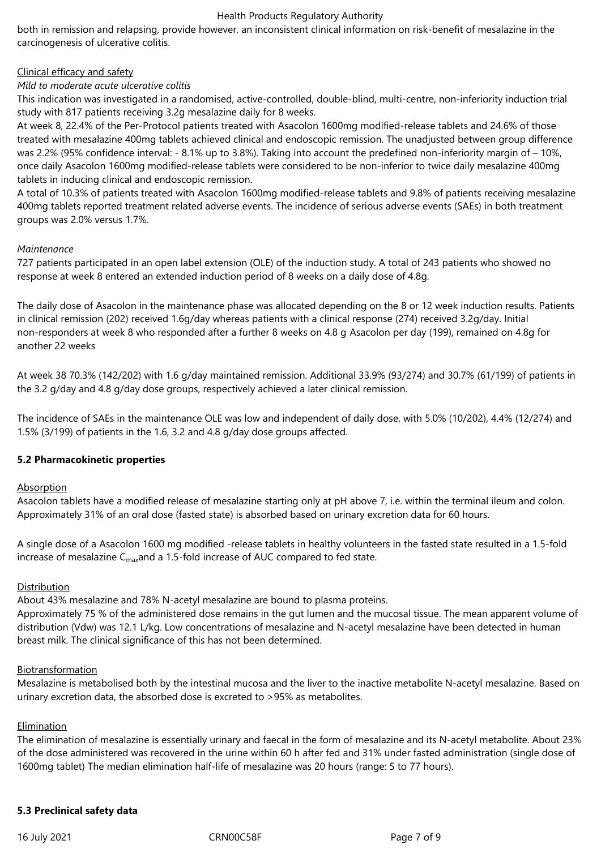both in remission and relapsing, provide however, an inconsistent clinical information on risk-benefit of mesalazine in the carcinogenesis of ulcerative colitis.

## Clinical efficacy and safety

## *Mild to moderate acute ulcerative colitis*

This indication was investigated in a randomised, active-controlled, double-blind, multi-centre, non-inferiority induction trial study with 817 patients receiving 3.2g mesalazine daily for 8 weeks.

At week 8, 22.4% of the Per-Protocol patients treated with Asacolon 1600mg modified-release tablets and 24.6% of those treated with mesalazine 400mg tablets achieved clinical and endoscopic remission. The unadjusted between group difference was 2.2% (95% confidence interval: - 8.1% up to 3.8%). Taking into account the predefined non-inferiority margin of – 10%, once daily Asacolon 1600mg modified-release tablets were considered to be non-inferior to twice daily mesalazine 400mg tablets in inducing clinical and endoscopic remission.

A total of 10.3% of patients treated with Asacolon 1600mg modified-release tablets and 9.8% of patients receiving mesalazine 400mg tablets reported treatment related adverse events. The incidence of serious adverse events (SAEs) in both treatment groups was 2.0% versus 1.7%.

## *Maintenance*

727 patients participated in an open label extension (OLE) of the induction study. A total of 243 patients who showed no response at week 8 entered an extended induction period of 8 weeks on a daily dose of 4.8g.

The daily dose of Asacolon in the maintenance phase was allocated depending on the 8 or 12 week induction results. Patients in clinical remission (202) received 1.6g/day whereas patients with a clinical response (274) received 3.2g/day. Initial non-responders at week 8 who responded after a further 8 weeks on 4.8 g Asacolon per day (199), remained on 4.8g for another 22 weeks

At week 38 70.3% (142/202) with 1.6 g/day maintained remission. Additional 33.9% (93/274) and 30.7% (61/199) of patients in the 3.2 g/day and 4.8 g/day dose groups, respectively achieved a later clinical remission.

The incidence of SAEs in the maintenance OLE was low and independent of daily dose, with 5.0% (10/202), 4.4% (12/274) and 1.5% (3/199) of patients in the 1.6, 3.2 and 4.8 g/day dose groups affected.

## **5.2 Pharmacokinetic properties**

**Absorption** 

Asacolon tablets have a modified release of mesalazine starting only at pH above 7, i.e. within the terminal ileum and colon. Approximately 31% of an oral dose (fasted state) is absorbed based on urinary excretion data for 60 hours.

A single dose of a Asacolon 1600 mg modified -release tablets in healthy volunteers in the fasted state resulted in a 1.5-fold increase of mesalazine  $C_{\text{max}}$  and a 1.5-fold increase of AUC compared to fed state.

## **Distribution**

About 43% mesalazine and 78% N-acetyl mesalazine are bound to plasma proteins.

Approximately 75 % of the administered dose remains in the gut lumen and the mucosal tissue. The mean apparent volume of distribution (Vdw) was 12.1 L/kg. Low concentrations of mesalazine and N-acetyl mesalazine have been detected in human breast milk. The clinical significance of this has not been determined.

#### Biotransformation

Mesalazine is metabolised both by the intestinal mucosa and the liver to the inactive metabolite N-acetyl mesalazine. Based on urinary excretion data, the absorbed dose is excreted to >95% as metabolites.

#### Elimination

The elimination of mesalazine is essentially urinary and faecal in the form of mesalazine and its N-acetyl metabolite. About 23% of the dose administered was recovered in the urine within 60 h after fed and 31% under fasted administration (single dose of 1600mg tablet) The median elimination half-life of mesalazine was 20 hours (range: 5 to 77 hours).

## **5.3 Preclinical safety data**

16 July 2021 **CRNOOC58F** Page 7 of 9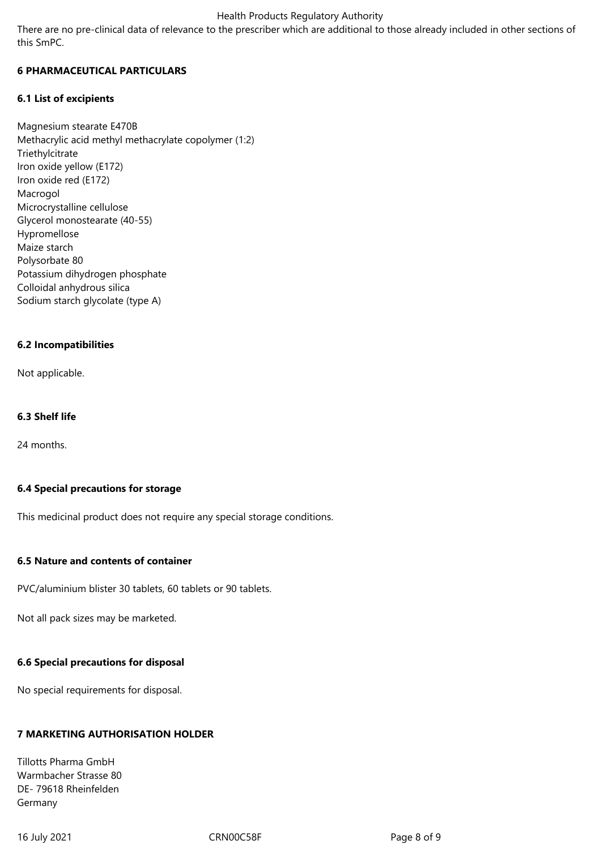There are no pre-clinical data of relevance to the prescriber which are additional to those already included in other sections of this SmPC.

## **6 PHARMACEUTICAL PARTICULARS**

## **6.1 List of excipients**

Magnesium stearate E470B Methacrylic acid methyl methacrylate copolymer (1:2) Triethylcitrate Iron oxide yellow (E172) Iron oxide red (E172) Macrogol Microcrystalline cellulose Glycerol monostearate (40-55) Hypromellose Maize starch Polysorbate 80 Potassium dihydrogen phosphate Colloidal anhydrous silica Sodium starch glycolate (type A)

## **6.2 Incompatibilities**

Not applicable.

## **6.3 Shelf life**

24 months.

#### **6.4 Special precautions for storage**

This medicinal product does not require any special storage conditions.

#### **6.5 Nature and contents of container**

PVC/aluminium blister 30 tablets, 60 tablets or 90 tablets.

Not all pack sizes may be marketed.

## **6.6 Special precautions for disposal**

No special requirements for disposal.

## **7 MARKETING AUTHORISATION HOLDER**

Tillotts Pharma GmbH Warmbacher Strasse 80 DE- 79618 Rheinfelden Germany